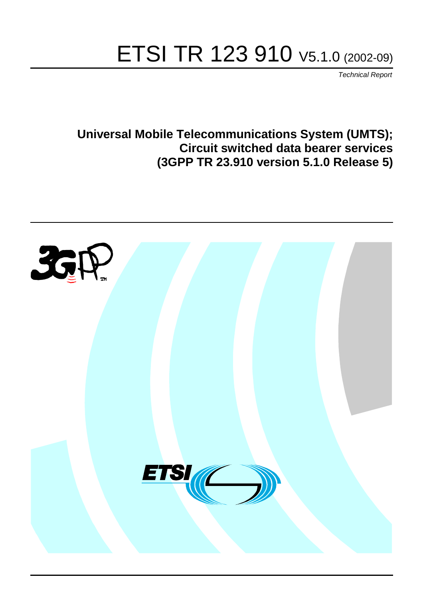# ETSI TR 123 910 V5.1.0 (2002-09)

Technical Report

**Universal Mobile Telecommunications System (UMTS); Circuit switched data bearer services (3GPP TR 23.910 version 5.1.0 Release 5)**

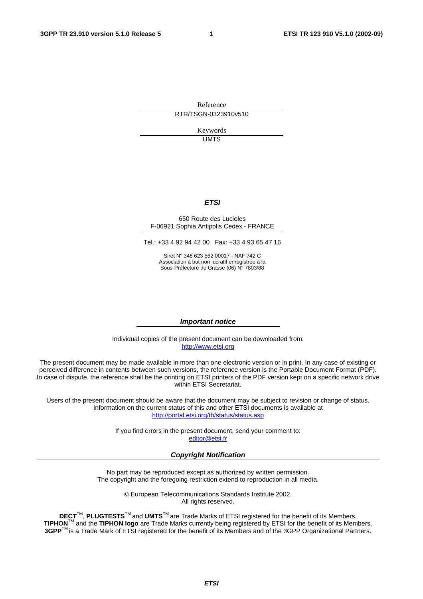Reference RTR/TSGN-0323910v510

> Keywords UMTS

#### **ETSI**

#### 650 Route des Lucioles F-06921 Sophia Antipolis Cedex - FRANCE

Tel.: +33 4 92 94 42 00 Fax: +33 4 93 65 47 16

Siret N° 348 623 562 00017 - NAF 742 C Association à but non lucratif enregistrée à la Sous-Préfecture de Grasse (06) N° 7803/88

#### **Important notice**

Individual copies of the present document can be downloaded from: [http://www.etsi.org](http://www.etsi.org/)

The present document may be made available in more than one electronic version or in print. In any case of existing or perceived difference in contents between such versions, the reference version is the Portable Document Format (PDF). In case of dispute, the reference shall be the printing on ETSI printers of the PDF version kept on a specific network drive within ETSI Secretariat.

Users of the present document should be aware that the document may be subject to revision or change of status. Information on the current status of this and other ETSI documents is available at <http://portal.etsi.org/tb/status/status.asp>

> If you find errors in the present document, send your comment to: [editor@etsi.fr](mailto:editor@etsi.fr)

#### **Copyright Notification**

No part may be reproduced except as authorized by written permission. The copyright and the foregoing restriction extend to reproduction in all media.

> © European Telecommunications Standards Institute 2002. All rights reserved.

**DECT**TM, **PLUGTESTS**TM and **UMTS**TM are Trade Marks of ETSI registered for the benefit of its Members. **TIPHON**TM and the **TIPHON logo** are Trade Marks currently being registered by ETSI for the benefit of its Members. **3GPP**TM is a Trade Mark of ETSI registered for the benefit of its Members and of the 3GPP Organizational Partners.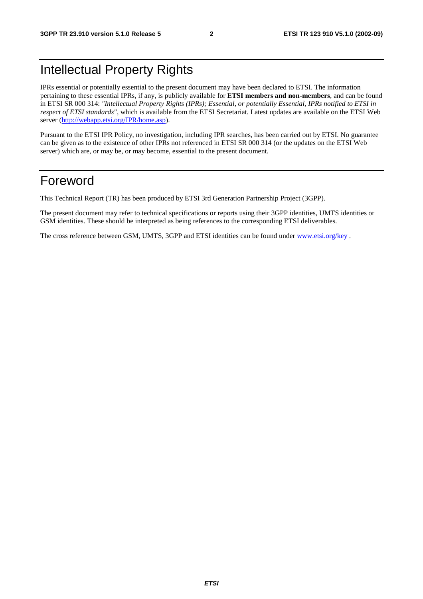# Intellectual Property Rights

IPRs essential or potentially essential to the present document may have been declared to ETSI. The information pertaining to these essential IPRs, if any, is publicly available for **ETSI members and non-members**, and can be found in ETSI SR 000 314: *"Intellectual Property Rights (IPRs); Essential, or potentially Essential, IPRs notified to ETSI in respect of ETSI standards"*, which is available from the ETSI Secretariat. Latest updates are available on the ETSI Web server (<http://webapp.etsi.org/IPR/home.asp>).

Pursuant to the ETSI IPR Policy, no investigation, including IPR searches, has been carried out by ETSI. No guarantee can be given as to the existence of other IPRs not referenced in ETSI SR 000 314 (or the updates on the ETSI Web server) which are, or may be, or may become, essential to the present document.

## Foreword

This Technical Report (TR) has been produced by ETSI 3rd Generation Partnership Project (3GPP).

The present document may refer to technical specifications or reports using their 3GPP identities, UMTS identities or GSM identities. These should be interpreted as being references to the corresponding ETSI deliverables.

The cross reference between GSM, UMTS, 3GPP and ETSI identities can be found under [www.etsi.org/key](http://www.etsi.org/key) .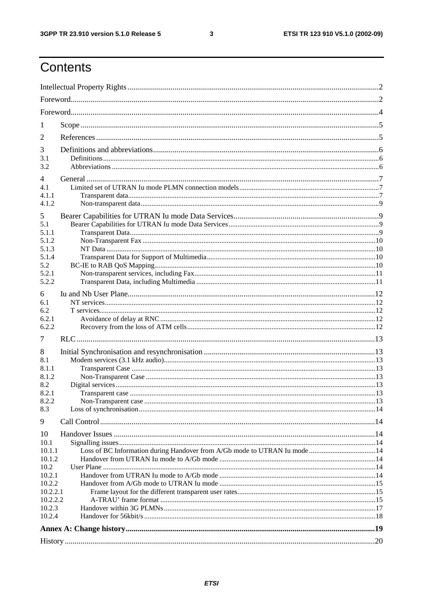$\mathbf{3}$ 

# Contents

| 1              |                                                                            |  |  |  |  |  |
|----------------|----------------------------------------------------------------------------|--|--|--|--|--|
| 2              |                                                                            |  |  |  |  |  |
| 3              |                                                                            |  |  |  |  |  |
| 3.1            |                                                                            |  |  |  |  |  |
| 3.2            |                                                                            |  |  |  |  |  |
| 4              |                                                                            |  |  |  |  |  |
| 4.1            |                                                                            |  |  |  |  |  |
| 4.1.1          |                                                                            |  |  |  |  |  |
| 4.1.2          |                                                                            |  |  |  |  |  |
| 5              |                                                                            |  |  |  |  |  |
| 5.1            |                                                                            |  |  |  |  |  |
| 5.1.1<br>5.1.2 |                                                                            |  |  |  |  |  |
| 5.1.3          |                                                                            |  |  |  |  |  |
| 5.1.4          |                                                                            |  |  |  |  |  |
| 5.2            |                                                                            |  |  |  |  |  |
| 5.2.1          |                                                                            |  |  |  |  |  |
| 5.2.2          |                                                                            |  |  |  |  |  |
| 6              |                                                                            |  |  |  |  |  |
| 6.1            |                                                                            |  |  |  |  |  |
| 6.2            |                                                                            |  |  |  |  |  |
| 6.2.1          |                                                                            |  |  |  |  |  |
| 6.2.2          |                                                                            |  |  |  |  |  |
| 7              |                                                                            |  |  |  |  |  |
| 8              |                                                                            |  |  |  |  |  |
| 8.1            |                                                                            |  |  |  |  |  |
| 8.1.1          |                                                                            |  |  |  |  |  |
| 8.1.2          |                                                                            |  |  |  |  |  |
| 8.2<br>8.2.1   |                                                                            |  |  |  |  |  |
| 8.2.2          |                                                                            |  |  |  |  |  |
| 8.3            |                                                                            |  |  |  |  |  |
| 9              |                                                                            |  |  |  |  |  |
|                |                                                                            |  |  |  |  |  |
| 10             |                                                                            |  |  |  |  |  |
| 10.1<br>10.1.1 | Loss of BC Information during Handover from A/Gb mode to UTRAN Iu mode  14 |  |  |  |  |  |
| 10.1.2         |                                                                            |  |  |  |  |  |
| 10.2           |                                                                            |  |  |  |  |  |
| 10.2.1         |                                                                            |  |  |  |  |  |
| 10.2.2         |                                                                            |  |  |  |  |  |
| 10.2.2.1       |                                                                            |  |  |  |  |  |
| 10.2.2.2       |                                                                            |  |  |  |  |  |
| 10.2.3         |                                                                            |  |  |  |  |  |
| 10.2.4         |                                                                            |  |  |  |  |  |
|                |                                                                            |  |  |  |  |  |
|                |                                                                            |  |  |  |  |  |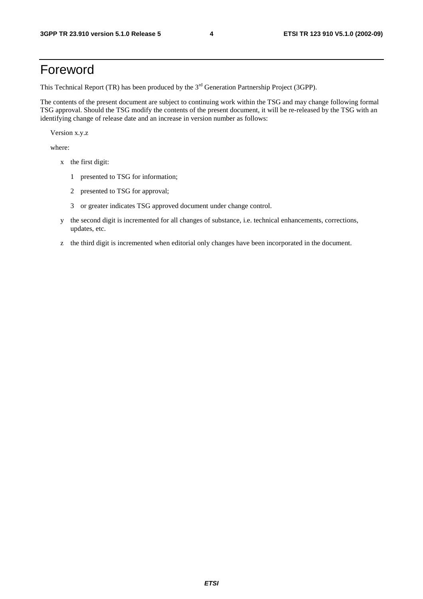# Foreword

This Technical Report (TR) has been produced by the 3<sup>rd</sup> Generation Partnership Project (3GPP).

The contents of the present document are subject to continuing work within the TSG and may change following formal TSG approval. Should the TSG modify the contents of the present document, it will be re-released by the TSG with an identifying change of release date and an increase in version number as follows:

Version x.y.z

where:

- x the first digit:
	- 1 presented to TSG for information;
	- 2 presented to TSG for approval;
	- 3 or greater indicates TSG approved document under change control.
- y the second digit is incremented for all changes of substance, i.e. technical enhancements, corrections, updates, etc.
- z the third digit is incremented when editorial only changes have been incorporated in the document.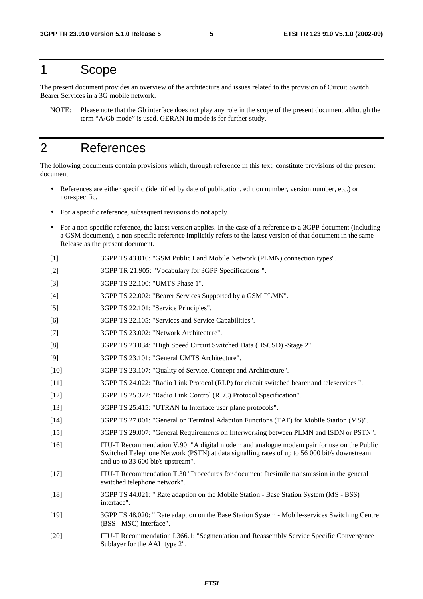### 1 Scope

The present document provides an overview of the architecture and issues related to the provision of Circuit Switch Bearer Services in a 3G mobile network.

NOTE: Please note that the Gb interface does not play any role in the scope of the present document although the term "A/Gb mode" is used. GERAN Iu mode is for further study.

# 2 References

The following documents contain provisions which, through reference in this text, constitute provisions of the present document.

- References are either specific (identified by date of publication, edition number, version number, etc.) or non-specific.
- For a specific reference, subsequent revisions do not apply.
- For a non-specific reference, the latest version applies. In the case of a reference to a 3GPP document (including a GSM document), a non-specific reference implicitly refers to the latest version of that document in the same Release as the present document.
- [1] 3GPP TS 43.010: "GSM Public Land Mobile Network (PLMN) connection types".
- [2] 3GPP TR 21.905: "Vocabulary for 3GPP Specifications ".
- [3] 3GPP TS 22.100: "UMTS Phase 1".
- [4] 3GPP TS 22.002: "Bearer Services Supported by a GSM PLMN".
- [5] 3GPP TS 22.101: "Service Principles".
- [6] 3GPP TS 22.105: "Services and Service Capabilities".
- [7] 3GPP TS 23.002: "Network Architecture".
- [8] 3GPP TS 23.034: "High Speed Circuit Switched Data (HSCSD) -Stage 2".
- [9] 3GPP TS 23.101: "General UMTS Architecture".
- [10] 3GPP TS 23.107: "Quality of Service, Concept and Architecture".
- [11] 3GPP TS 24.022: "Radio Link Protocol (RLP) for circuit switched bearer and teleservices ".
- [12] 3GPP TS 25.322: "Radio Link Control (RLC) Protocol Specification".
- [13] 3GPP TS 25.415: "UTRAN Iu Interface user plane protocols".
- [14] 3GPP TS 27.001: "General on Terminal Adaption Functions (TAF) for Mobile Station (MS)".
- [15] 3GPP TS 29.007: "General Requirements on Interworking between PLMN and ISDN or PSTN".
- [16] ITU-T Recommendation V.90: "A digital modem and analogue modem pair for use on the Public Switched Telephone Network (PSTN) at data signalling rates of up to 56 000 bit/s downstream and up to 33 600 bit/s upstream".
- [17] ITU-T Recommendation T.30 "Procedures for document facsimile transmission in the general switched telephone network".
- [18] 3GPP TS 44.021: " Rate adaption on the Mobile Station Base Station System (MS BSS) interface".
- [19] 3GPP TS 48.020: " Rate adaption on the Base Station System Mobile-services Switching Centre (BSS - MSC) interface".
- [20] ITU-T Recommendation I.366.1: "Segmentation and Reassembly Service Specific Convergence Sublayer for the AAL type 2".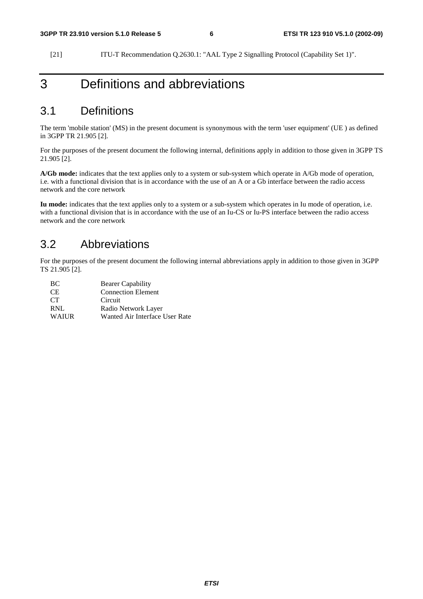[21] ITU-T Recommendation Q.2630.1: "AAL Type 2 Signalling Protocol (Capability Set 1)".

# 3 Definitions and abbreviations

### 3.1 Definitions

The term 'mobile station' (MS) in the present document is synonymous with the term 'user equipment' (UE ) as defined in 3GPP TR 21.905 [2].

For the purposes of the present document the following internal, definitions apply in addition to those given in 3GPP TS 21.905 [2].

**A/Gb mode:** indicates that the text applies only to a system or sub-system which operate in A/Gb mode of operation, i.e. with a functional division that is in accordance with the use of an A or a Gb interface between the radio access network and the core network

**Iu mode:** indicates that the text applies only to a system or a sub-system which operates in Iu mode of operation, i.e. with a functional division that is in accordance with the use of an Iu-CS or Iu-PS interface between the radio access network and the core network

### 3.2 Abbreviations

For the purposes of the present document the following internal abbreviations apply in addition to those given in 3GPP TS 21.905 [2].

| BC.             | <b>Bearer Capability</b>       |
|-----------------|--------------------------------|
| CE.             | <b>Connection Element</b>      |
| CT <sup>-</sup> | Circuit                        |
| RNL             | Radio Network Layer            |
| <b>WAIUR</b>    | Wanted Air Interface User Rate |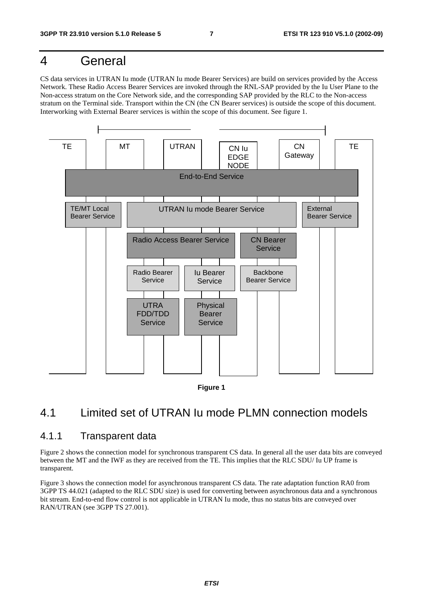# 4 General

CS data services in UTRAN Iu mode (UTRAN Iu mode Bearer Services) are build on services provided by the Access Network. These Radio Access Bearer Services are invoked through the RNL-SAP provided by the Iu User Plane to the Non-access stratum on the Core Network side, and the corresponding SAP provided by the RLC to the Non-access stratum on the Terminal side. Transport within the CN (the CN Bearer services) is outside the scope of this document. Interworking with External Bearer services is within the scope of this document. See figure 1.





# 4.1 Limited set of UTRAN Iu mode PLMN connection models

#### 4.1.1 Transparent data

Figure 2 shows the connection model for synchronous transparent CS data. In general all the user data bits are conveyed between the MT and the IWF as they are received from the TE. This implies that the RLC SDU/ Iu UP frame is transparent.

Figure 3 shows the connection model for asynchronous transparent CS data. The rate adaptation function RA0 from 3GPP TS 44.021 (adapted to the RLC SDU size) is used for converting between asynchronous data and a synchronous bit stream. End-to-end flow control is not applicable in UTRAN Iu mode, thus no status bits are conveyed over RAN/UTRAN (see 3GPP TS 27.001).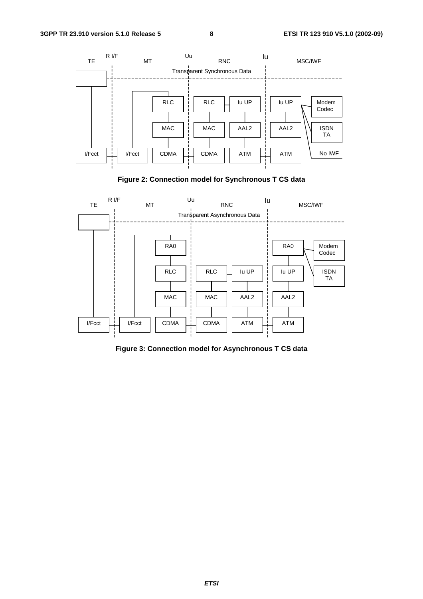

**Figure 2: Connection model for Synchronous T CS data** 



**Figure 3: Connection model for Asynchronous T CS data**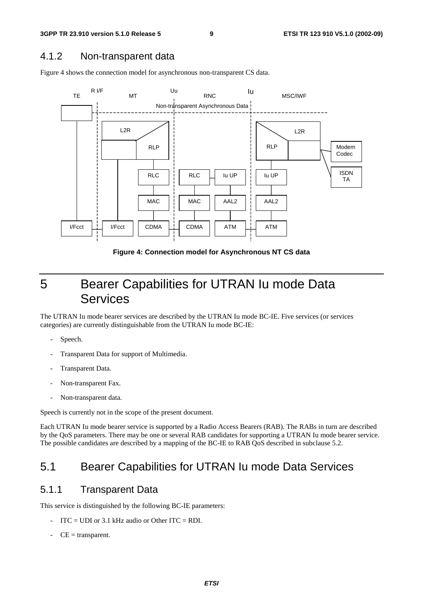### 4.1.2 Non-transparent data

Figure 4 shows the connection model for asynchronous non-transparent CS data.



**Figure 4: Connection model for Asynchronous NT CS data** 

# 5 Bearer Capabilities for UTRAN Iu mode Data Services

The UTRAN Iu mode bearer services are described by the UTRAN Iu mode BC-IE. Five services (or services categories) are currently distinguishable from the UTRAN Iu mode BC-IE:

- Speech.
- Transparent Data for support of Multimedia.
- Transparent Data.
- Non-transparent Fax.
- Non-transparent data.

Speech is currently not in the scope of the present document.

Each UTRAN Iu mode bearer service is supported by a Radio Access Bearers (RAB). The RABs in turn are described by the QoS parameters. There may be one or several RAB candidates for supporting a UTRAN Iu mode bearer service. The possible candidates are described by a mapping of the BC-IE to RAB QoS described in subclause 5.2.

### 5.1 Bearer Capabilities for UTRAN Iu mode Data Services

#### 5.1.1 Transparent Data

This service is distinguished by the following BC-IE parameters:

- $ITC = UDI$  or 3.1 kHz audio or Other  $ITC = RDI$ .
- $CE =$  transparent.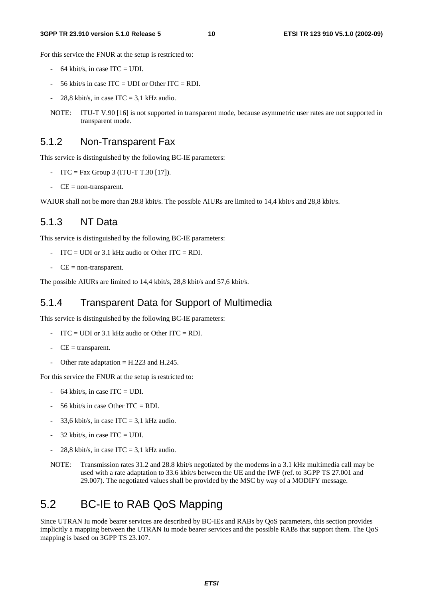#### **3GPP TR 23.910 version 5.1.0 Release 5 10 ETSI TR 123 910 V5.1.0 (2002-09)**

For this service the FNUR at the setup is restricted to:

- $-64$  kbit/s, in case ITC = UDI.
- 56 kbit/s in case ITC = UDI or Other ITC = RDI.
- 28.8 kbit/s, in case  $ITC = 3.1$  kHz audio.
- NOTE: ITU-T V.90 [16] is not supported in transparent mode, because asymmetric user rates are not supported in transparent mode.

#### 5.1.2 Non-Transparent Fax

This service is distinguished by the following BC-IE parameters:

- ITC = Fax Group 3 (ITU-T T.30 [17]).
- $-CE = non-transport.$

WAIUR shall not be more than 28.8 kbit/s. The possible AIURs are limited to 14.4 kbit/s and 28.8 kbit/s.

#### 5.1.3 NT Data

This service is distinguished by the following BC-IE parameters:

- $ITC = UDI$  or 3.1 kHz audio or Other  $ITC = RDI$ .
- $-CE = non-transport.$

The possible AIURs are limited to 14,4 kbit/s, 28,8 kbit/s and 57,6 kbit/s.

#### 5.1.4 Transparent Data for Support of Multimedia

This service is distinguished by the following BC-IE parameters:

- $ITC = UDI$  or 3.1 kHz audio or Other  $ITC = RDI$ .
- $CE =$  transparent.
- Other rate adaptation  $=$  H.223 and H.245.

For this service the FNUR at the setup is restricted to:

- $-64$  kbit/s, in case ITC = UDI.
- 56 kbit/s in case Other  $ITC = RDI$ .
- 33,6 kbit/s, in case ITC = 3,1 kHz audio.
- $32$  kbit/s, in case ITC = UDI.
- 28,8 kbit/s, in case  $ITC = 3.1$  kHz audio.
- NOTE: Transmission rates 31.2 and 28.8 kbit/s negotiated by the modems in a 3.1 kHz multimedia call may be used with a rate adaptation to 33.6 kbit/s between the UE and the IWF (ref. to 3GPP TS 27.001 and 29.007). The negotiated values shall be provided by the MSC by way of a MODIFY message.

### 5.2 BC-IE to RAB QoS Mapping

Since UTRAN Iu mode bearer services are described by BC-IEs and RABs by QoS parameters, this section provides implicitly a mapping between the UTRAN Iu mode bearer services and the possible RABs that support them. The QoS mapping is based on 3GPP TS 23.107.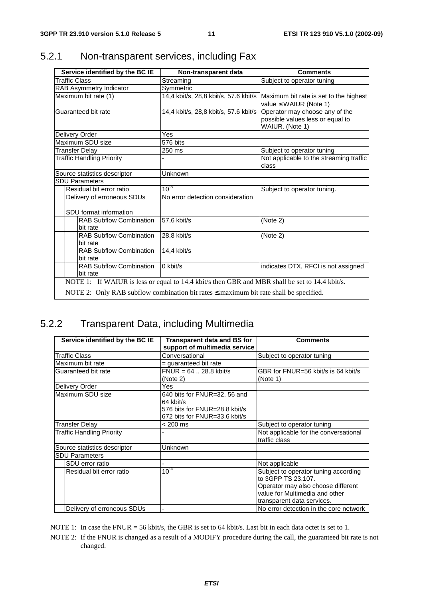| Non-transparent data                  | <b>Comments</b>                                                                       |
|---------------------------------------|---------------------------------------------------------------------------------------|
| Streaming                             | Subject to operator tuning                                                            |
| Symmetric                             |                                                                                       |
| 14,4 kbit/s, 28,8 kbit/s, 57.6 kbit/s | Maximum bit rate is set to the highest<br>value $\leq$ WAIUR (Note 1)                 |
| 14,4 kbit/s, 28,8 kbit/s, 57.6 kbit/s | Operator may choose any of the<br>possible values less or equal to<br>WAIUR. (Note 1) |
| Yes                                   |                                                                                       |
| 576 bits                              |                                                                                       |
| 250 ms                                | Subject to operator tuning                                                            |
|                                       | Not applicable to the streaming traffic<br>class                                      |
| Unknown                               |                                                                                       |
|                                       |                                                                                       |
|                                       | Subject to operator tuning.                                                           |
| No error detection consideration      |                                                                                       |
|                                       |                                                                                       |
| 57.6 kbit/s                           | (Note 2)                                                                              |
| 28.8 kbit/s                           | (Note 2)                                                                              |
| 14,4 kbit/s                           |                                                                                       |
| $0$ kbit/s                            | indicates DTX, RFCI is not assigned                                                   |
|                                       | $10^{-3}$                                                                             |

## 5.2.1 Non-transparent services, including Fax

### 5.2.2 Transparent Data, including Multimedia

| Service identified by the BC IE  | <b>Transparent data and BS for</b> | <b>Comments</b>                        |
|----------------------------------|------------------------------------|----------------------------------------|
|                                  | support of multimedia service      |                                        |
| <b>Traffic Class</b>             | Conversational                     | Subject to operator tuning             |
| Maximum bit rate                 | = guaranteed bit rate              |                                        |
| Guaranteed bit rate              | $FNUR = 64$ 28.8 kbit/s            | GBR for FNUR=56 kbit/s is 64 kbit/s    |
|                                  | (Note 2)                           | (Note 1)                               |
| Delivery Order                   | Yes                                |                                        |
| Maximum SDU size                 | 640 bits for FNUR=32, 56 and       |                                        |
|                                  | 64 kbit/s                          |                                        |
|                                  | 576 bits for FNUR=28.8 kbit/s      |                                        |
|                                  | 672 bits for FNUR=33.6 kbit/s      |                                        |
| <b>Transfer Delay</b>            | $< 200 \text{ ms}$                 | Subject to operator tuning             |
| <b>Traffic Handling Priority</b> |                                    | Not applicable for the conversational  |
|                                  |                                    | traffic class                          |
| Source statistics descriptor     | Unknown                            |                                        |
| <b>SDU Parameters</b>            |                                    |                                        |
| SDU error ratio                  |                                    | Not applicable                         |
| Residual bit error ratio         | $10^{-4}$                          | Subject to operator tuning according   |
|                                  |                                    | to 3GPP TS 23.107.                     |
|                                  |                                    | Operator may also choose different     |
|                                  |                                    | value for Multimedia and other         |
|                                  |                                    | transparent data services.             |
| Delivery of erroneous SDUs       |                                    | No error detection in the core network |

NOTE 1: In case the FNUR = 56 kbit/s, the GBR is set to 64 kbit/s. Last bit in each data octet is set to 1.

NOTE 2: If the FNUR is changed as a result of a MODIFY procedure during the call, the guaranteed bit rate is not changed.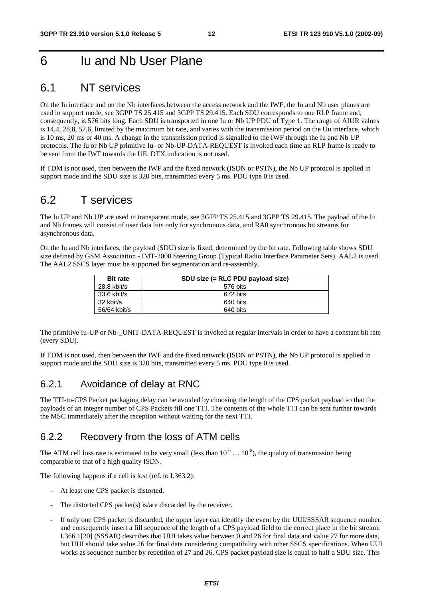# 6 Iu and Nb User Plane

### 6.1 NT services

On the Iu interface and on the Nb interfaces between the access network and the IWF, the Iu and Nb user planes are used in support mode, see 3GPP TS 25.415 and 3GPP TS 29.415. Each SDU corresponds to one RLP frame and, consequently, is 576 bits long. Each SDU is transported in one Iu or Nb UP PDU of Type 1. The range of AIUR values is 14,4, 28,8, 57,6, limited by the maximum bit rate, and varies with the transmission period on the Uu interface, which is 10 ms, 20 ms or 40 ms. A change in the transmission period is signalled to the IWF through the Iu and Nb UP protocols. The Iu or Nb UP primitive Iu- or Nb-UP-DATA-REQUEST is invoked each time an RLP frame is ready to be sent from the IWF towards the UE. DTX indication is not used.

If TDM is not used, then between the IWF and the fixed network (ISDN or PSTN), the Nb UP protocol is applied in support mode and the SDU size is 320 bits, transmitted every 5 ms. PDU type 0 is used.

### 6.2 T services

The Iu UP and Nb UP are used in transparent mode, see 3GPP TS 25.415 and 3GPP TS 29.415. The payload of the Iu and Nb frames will consist of user data bits only for synchronous data, and RA0 synchronous bit streams for asynchronous data.

On the Iu and Nb interfaces, the payload (SDU) size is fixed, determined by the bit rate. Following table shows SDU size defined by GSM Association - IMT-2000 Steering Group (Typical Radio Interface Parameter Sets). AAL2 is used. The AAL2 SSCS layer must be supported for segmentation and re-assembly.

| <b>Bit rate</b> | SDU size (= RLC PDU payload size) |
|-----------------|-----------------------------------|
| $28.8$ kbit/s   | 576 bits                          |
| 33.6 kbit/s     | 672 bits                          |
| 32 kbit/s       | 640 bits                          |
| 56/64 kbit/s    | 640 bits                          |

The primitive Iu-UP or Nb-\_UNIT-DATA-REQUEST is invoked at regular intervals in order to have a constant bit rate (every SDU).

If TDM is not used, then between the IWF and the fixed network (ISDN or PSTN), the Nb UP protocol is applied in support mode and the SDU size is 320 bits, transmitted every 5 ms. PDU type 0 is used.

#### 6.2.1 Avoidance of delay at RNC

The TTI-to-CPS Packet packaging delay can be avoided by choosing the length of the CPS packet payload so that the payloads of an integer number of CPS Packets fill one TTI. The contents of the whole TTI can be sent further towards the MSC immediately after the reception without waiting for the next TTI.

### 6.2.2 Recovery from the loss of ATM cells

The ATM cell loss rate is estimated to be very small (less than  $10^{-6}$  ...  $10^{-8}$ ), the quality of transmission being comparable to that of a high quality ISDN.

The following happens if a cell is lost (ref. to I.363.2):

- At least one CPS packet is distorted.
- The distorted CPS packet(s) is/are discarded by the receiver.
- If only one CPS packet is discarded, the upper layer can identify the event by the UUI/SSSAR sequence number, and consequently insert a fill sequence of the length of a CPS payload field to the correct place in the bit stream. I.366.1[20] (SSSAR) describes that UUI takes value between 0 and 26 for final data and value 27 for more data, but UUI should take value 26 for final data considering compatibility with other SSCS specifications. When UUI works as sequence number by repetition of 27 and 26, CPS packet payload size is equal to half a SDU size. This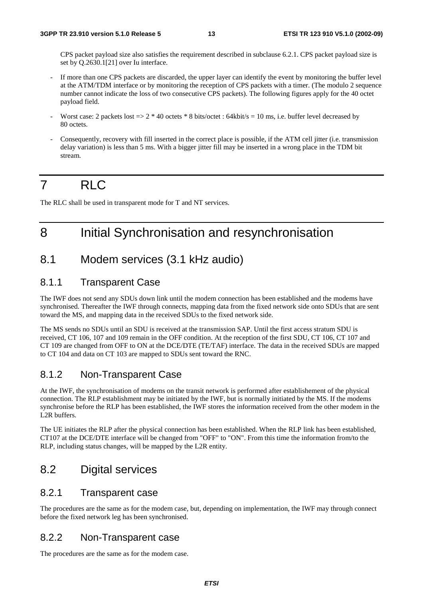CPS packet payload size also satisfies the requirement described in subclause 6.2.1. CPS packet payload size is set by Q.2630.1[21] over Iu interface.

- If more than one CPS packets are discarded, the upper layer can identify the event by monitoring the buffer level at the ATM/TDM interface or by monitoring the reception of CPS packets with a timer. (The modulo 2 sequence number cannot indicate the loss of two consecutive CPS packets). The following figures apply for the 40 octet payload field.
- Worst case: 2 packets lost  $=$   $>$  2  $*$  40 octets  $*$  8 bits/octet : 64kbit/s = 10 ms, i.e. buffer level decreased by 80 octets.
- Consequently, recovery with fill inserted in the correct place is possible, if the ATM cell jitter (i.e. transmission delay variation) is less than 5 ms. With a bigger jitter fill may be inserted in a wrong place in the TDM bit stream.

# 7 RLC

The RLC shall be used in transparent mode for T and NT services.

# 8 Initial Synchronisation and resynchronisation

### 8.1 Modem services (3.1 kHz audio)

### 8.1.1 Transparent Case

The IWF does not send any SDUs down link until the modem connection has been established and the modems have synchronised. Thereafter the IWF through connects, mapping data from the fixed network side onto SDUs that are sent toward the MS, and mapping data in the received SDUs to the fixed network side.

The MS sends no SDUs until an SDU is received at the transmission SAP. Until the first access stratum SDU is received, CT 106, 107 and 109 remain in the OFF condition. At the reception of the first SDU, CT 106, CT 107 and CT 109 are changed from OFF to ON at the DCE/DTE (TE/TAF) interface. The data in the received SDUs are mapped to CT 104 and data on CT 103 are mapped to SDUs sent toward the RNC.

### 8.1.2 Non-Transparent Case

At the IWF, the synchronisation of modems on the transit network is performed after establishement of the physical connection. The RLP establishment may be initiated by the IWF, but is normally initiated by the MS. If the modems synchronise before the RLP has been established, the IWF stores the information received from the other modem in the L2R buffers.

The UE initiates the RLP after the physical connection has been established. When the RLP link has been established, CT107 at the DCE/DTE interface will be changed from "OFF" to "ON". From this time the information from/to the RLP, including status changes, will be mapped by the L2R entity.

### 8.2 Digital services

#### 8.2.1 Transparent case

The procedures are the same as for the modem case, but, depending on implementation, the IWF may through connect before the fixed network leg has been synchronised.

#### 8.2.2 Non-Transparent case

The procedures are the same as for the modem case.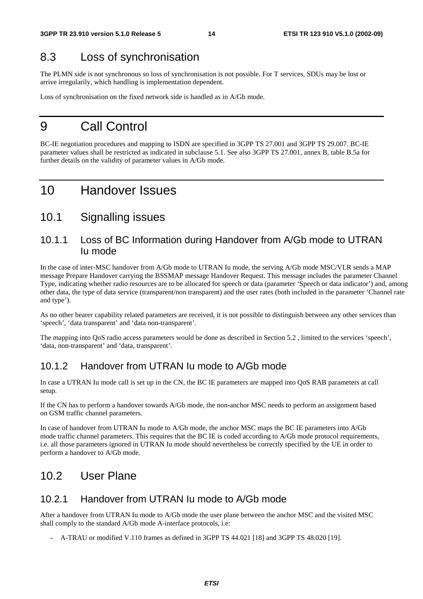# 8.3 Loss of synchronisation

The PLMN side is not synchronous so loss of synchronisation is not possible. For T services, SDUs may be lost or arrive irregularily, which handling is implementation dependent.

Loss of synchronisation on the fixed network side is handled as in A/Gb mode.

# 9 Call Control

BC-IE negotiation procedures and mapping to ISDN are specified in 3GPP TS 27.001 and 3GPP TS 29.007. BC-IE parameter values shall be restricted as indicated in subclause 5.1. See also 3GPP TS 27.001, annex B, table B.5a for further details on the validity of parameter values in A/Gb mode.

# 10 Handover Issues

### 10.1 Signalling issues

### 10.1.1 Loss of BC Information during Handover from A/Gb mode to UTRAN Iu mode

In the case of inter-MSC handover from A/Gb mode to UTRAN Iu mode, the serving A/Gb mode MSC/VLR sends a MAP message Prepare Handover carrying the BSSMAP message Handover Request. This message includes the parameter Channel Type, indicating whether radio resources are to be allocated for speech or data (parameter 'Speech or data indicator') and, among other data, the type of data service (transparent/non transparent) and the user rates (both included in the parameter 'Channel rate and type').

As no other bearer capability related parameters are received, it is not possible to distinguish between any other services than 'speech', 'data transparent' and 'data non-transparent'.

The mapping into QoS radio access parameters would be done as described in Section 5.2 , limited to the services 'speech', 'data, non-transparent' and 'data, transparent'.

### 10.1.2 Handover from UTRAN Iu mode to A/Gb mode

In case a UTRAN Iu mode call is set up in the CN, the BC IE parameters are mapped into QoS RAB parameters at call setup.

If the CN has to perform a handover towards A/Gb mode, the non-anchor MSC needs to perform an assignment based on GSM traffic channel parameters.

In case of handover from UTRAN Iu mode to A/Gb mode, the anchor MSC maps the BC IE parameters into A/Gb mode traffic channel parameters. This requires that the BC IE is coded according to A/Gb mode protocol requirements, i.e. all those parameters ignored in UTRAN Iu mode should nevertheless be correctly specified by the UE in order to perform a handover to A/Gb mode.

### 10.2 User Plane

### 10.2.1 Handover from UTRAN Iu mode to A/Gb mode

After a handover from UTRAN Iu mode to A/Gb mode the user plane between the anchor MSC and the visited MSC shall comply to the standard A/Gb mode A-interface protocols, i.e:

- A-TRAU or modified V.110 frames as defined in 3GPP TS 44.021 [18] and 3GPP TS 48.020 [19].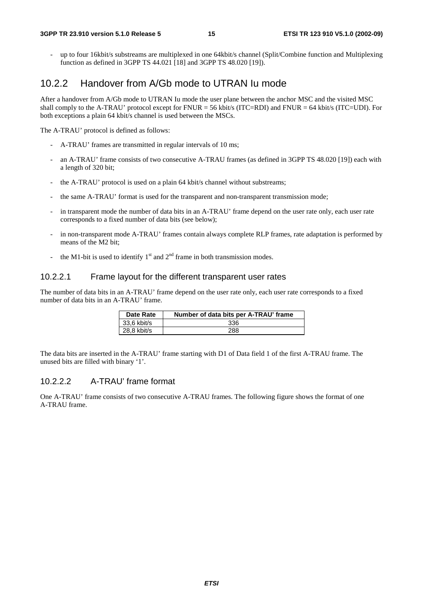- up to four 16kbit/s substreams are multiplexed in one 64kbit/s channel (Split/Combine function and Multiplexing function as defined in 3GPP TS 44.021 [18] and 3GPP TS 48.020 [19]).

### 10.2.2 Handover from A/Gb mode to UTRAN Iu mode

After a handover from A/Gb mode to UTRAN Iu mode the user plane between the anchor MSC and the visited MSC shall comply to the A-TRAU' protocol except for FNUR = 56 kbit/s (ITC=RDI) and FNUR = 64 kbit/s (ITC=UDI). For both exceptions a plain 64 kbit/s channel is used between the MSCs.

The A-TRAU' protocol is defined as follows:

- A-TRAU' frames are transmitted in regular intervals of 10 ms;
- an A-TRAU' frame consists of two consecutive A-TRAU frames (as defined in 3GPP TS 48.020 [19]) each with a length of 320 bit;
- the A-TRAU' protocol is used on a plain 64 kbit/s channel without substreams;
- the same A-TRAU' format is used for the transparent and non-transparent transmission mode;
- in transparent mode the number of data bits in an A-TRAU' frame depend on the user rate only, each user rate corresponds to a fixed number of data bits (see below);
- in non-transparent mode A-TRAU' frames contain always complete RLP frames, rate adaptation is performed by means of the M2 bit;
- the M1-bit is used to identify  $1<sup>st</sup>$  and  $2<sup>nd</sup>$  frame in both transmission modes.

#### 10.2.2.1 Frame layout for the different transparent user rates

The number of data bits in an A-TRAU' frame depend on the user rate only, each user rate corresponds to a fixed number of data bits in an A-TRAU' frame.

| <b>Date Rate</b> | Number of data bits per A-TRAU' frame |
|------------------|---------------------------------------|
| 33.6 kbit/s      | 336                                   |
| 28.8 kbit/s      | 288                                   |

The data bits are inserted in the A-TRAU' frame starting with D1 of Data field 1 of the first A-TRAU frame. The unused bits are filled with binary '1'.

#### 10.2.2.2 A-TRAU' frame format

One A-TRAU' frame consists of two consecutive A-TRAU frames. The following figure shows the format of one A-TRAU frame.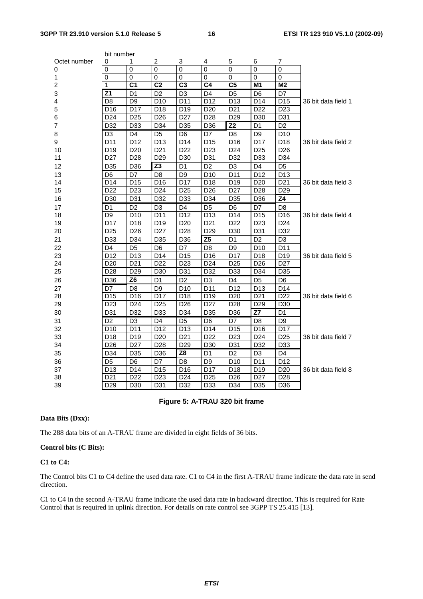| bit number     |                 |                 |                 |                 |                 |                        |                 |                 |                     |
|----------------|-----------------|-----------------|-----------------|-----------------|-----------------|------------------------|-----------------|-----------------|---------------------|
| Octet number   | 0               | 1               | 2               | 3               | 4               | 5                      | 6               | 7               |                     |
| 0              | 0               | $\mathbf 0$     | $\pmb{0}$       | $\mathbf 0$     | $\mathbf 0$     | 0                      | 0               | 0               |                     |
| 1              | 0               | $\Omega$        | 0               | $\Omega$        | $\mathbf{0}$    | 0                      | 0               | 0               |                     |
| $\overline{c}$ | 1               | $\overline{C}$  | $\overline{C2}$ | C <sub>3</sub>  | $\overline{C4}$ | $\overline{\text{C5}}$ | M1              | M <sub>2</sub>  |                     |
| 3              | Z <sub>1</sub>  | D1              | D <sub>2</sub>  | D <sub>3</sub>  | D <sub>4</sub>  | D5                     | D6              | D7              |                     |
| 4              | D <sub>8</sub>  | D <sub>9</sub>  | D <sub>10</sub> | D11             | D <sub>12</sub> | D13                    | D14             | D <sub>15</sub> | 36 bit data field 1 |
| 5              | D <sub>16</sub> | D17             | D18             | D <sub>19</sub> | D <sub>20</sub> | D <sub>21</sub>        | D <sub>22</sub> | D <sub>23</sub> |                     |
| 6              | D24             | D <sub>25</sub> | D <sub>26</sub> | D <sub>27</sub> | D <sub>28</sub> | D <sub>29</sub>        | D30             | D31             |                     |
| $\overline{7}$ | D32             | D33             | D34             | D35             | D36             | Z <sub>2</sub>         | D1              | D <sub>2</sub>  |                     |
| 8              | D <sub>3</sub>  | D <sub>4</sub>  | D <sub>5</sub>  | D6              | D7              | D <sub>8</sub>         | D <sub>9</sub>  | D <sub>10</sub> |                     |
| 9              | D11             | D12             | D <sub>13</sub> | D14             | D <sub>15</sub> | D16                    | D17             | D18             | 36 bit data field 2 |
| 10             | D <sub>19</sub> | D <sub>20</sub> | D <sub>21</sub> | D <sub>22</sub> | D <sub>23</sub> | D <sub>24</sub>        | D <sub>25</sub> | D <sub>26</sub> |                     |
| 11             | D <sub>27</sub> | D <sub>28</sub> | D <sub>29</sub> | D <sub>30</sub> | D31             | D32                    | D33             | D34             |                     |
| 12             | D35             | D36             | Z <sub>3</sub>  | D <sub>1</sub>  | D <sub>2</sub>  | D <sub>3</sub>         | D <sub>4</sub>  | D <sub>5</sub>  |                     |
| 13             | D <sub>6</sub>  | D7              | D <sub>8</sub>  | D <sub>9</sub>  | D <sub>10</sub> | D11                    | D <sub>12</sub> | D <sub>13</sub> |                     |
| 14             | D14             | D <sub>15</sub> | D <sub>16</sub> | D17             | D18             | D19                    | D <sub>20</sub> | D <sub>21</sub> | 36 bit data field 3 |
| 15             | D <sub>22</sub> | D <sub>23</sub> | D <sub>24</sub> | D <sub>25</sub> | D <sub>26</sub> | D <sub>27</sub>        | D <sub>28</sub> | D <sub>29</sub> |                     |
| 16             | D30             | D31             | D32             | D33             | D34             | D35                    | D36             | Z <sub>4</sub>  |                     |
| 17             | D <sub>1</sub>  | D <sub>2</sub>  | D <sub>3</sub>  | D <sub>4</sub>  | D <sub>5</sub>  | D <sub>6</sub>         | D7              | D <sub>8</sub>  |                     |
| 18             | D9              | D <sub>10</sub> | D11             | D <sub>12</sub> | D13             | D <sub>14</sub>        | D15             | D <sub>16</sub> | 36 bit data field 4 |
| 19             | D17             | D18             | D19             | D <sub>20</sub> | D <sub>21</sub> | D <sub>22</sub>        | D <sub>23</sub> | D <sub>24</sub> |                     |
| 20             | D <sub>25</sub> | D <sub>26</sub> | D <sub>27</sub> | D <sub>28</sub> | D <sub>29</sub> | D <sub>30</sub>        | D31             | D32             |                     |
| 21             | D33             | D34             | D35             | D36             | Z5              | D <sub>1</sub>         | D <sub>2</sub>  | D <sub>3</sub>  |                     |
| 22             | D4              | D <sub>5</sub>  | D <sub>6</sub>  | D7              | D <sub>8</sub>  | D <sub>9</sub>         | D <sub>10</sub> | D11             |                     |
| 23             | D <sub>12</sub> | D <sub>13</sub> | D <sub>14</sub> | D <sub>15</sub> | D <sub>16</sub> | D17                    | D <sub>18</sub> | D19             | 36 bit data field 5 |
| 24             | D <sub>20</sub> | D <sub>21</sub> | D <sub>22</sub> | D <sub>23</sub> | D <sub>24</sub> | D <sub>25</sub>        | D <sub>26</sub> | D <sub>27</sub> |                     |
| 25             | D <sub>28</sub> | D <sub>29</sub> | D30             | D31             | D32             | D33                    | D34             | D35             |                     |
| 26             | D36             | Z <sub>6</sub>  | D <sub>1</sub>  | D <sub>2</sub>  | D <sub>3</sub>  | D <sub>4</sub>         | D <sub>5</sub>  | D <sub>6</sub>  |                     |
| 27             | D7              | D <sub>8</sub>  | D <sub>9</sub>  | D <sub>10</sub> | D11             | D <sub>12</sub>        | D <sub>13</sub> | D <sub>14</sub> |                     |
| 28             | D <sub>15</sub> | D <sub>16</sub> | D17             | D18             | D19             | D <sub>20</sub>        | D <sub>21</sub> | D <sub>22</sub> | 36 bit data field 6 |
| 29             | D <sub>23</sub> | D <sub>24</sub> | D <sub>25</sub> | D <sub>26</sub> | D <sub>27</sub> | D <sub>28</sub>        | D <sub>29</sub> | D30             |                     |
| 30             | D31             | D32             | D33             | D34             | D35             | D36                    | <b>Z7</b>       | D <sub>1</sub>  |                     |
| 31             | D <sub>2</sub>  | D <sub>3</sub>  | D <sub>4</sub>  | D <sub>5</sub>  | D <sub>6</sub>  | D7                     | D8              | D <sub>9</sub>  |                     |
| 32             | D <sub>10</sub> | D11             | D12             | D13             | D14             | D <sub>15</sub>        | D16             | D17             |                     |
| 33             | D <sub>18</sub> | D19             | D <sub>20</sub> | D <sub>21</sub> | D <sub>22</sub> | D <sub>23</sub>        | D <sub>24</sub> | D <sub>25</sub> | 36 bit data field 7 |
| 34             | D <sub>26</sub> | D <sub>27</sub> | D <sub>28</sub> | D <sub>29</sub> | D <sub>30</sub> | D31                    | D32             | D33             |                     |
| 35             | D34             | D <sub>35</sub> | D <sub>36</sub> | Z8              | D <sub>1</sub>  | D <sub>2</sub>         | D <sub>3</sub>  | D <sub>4</sub>  |                     |
| 36             | D <sub>5</sub>  | D <sub>6</sub>  | D7              | D <sub>8</sub>  | D <sub>9</sub>  | D <sub>10</sub>        | D11             | D <sub>12</sub> |                     |
| 37             | D <sub>13</sub> | D14             | D <sub>15</sub> | D16             | D17             | D18                    | D <sub>19</sub> | D <sub>20</sub> | 36 bit data field 8 |
| 38             | D <sub>21</sub> | D <sub>22</sub> | D <sub>23</sub> | D <sub>24</sub> | D <sub>25</sub> | D <sub>26</sub>        | D <sub>27</sub> | D <sub>28</sub> |                     |
| 39             | D <sub>29</sub> | D30             | D31             | D32             | D33             | D34                    | D35             | D36             |                     |

#### **Figure 5: A-TRAU 320 bit frame**

#### **Data Bits (Dxx):**

The 288 data bits of an A-TRAU frame are divided in eight fields of 36 bits.

#### **Control bits (C Bits):**

#### **C1 to C4:**

The Control bits C1 to C4 define the used data rate. C1 to C4 in the first A-TRAU frame indicate the data rate in send direction.

C1 to C4 in the second A-TRAU frame indicate the used data rate in backward direction. This is required for Rate Control that is required in uplink direction. For details on rate control see 3GPP TS 25.415 [13].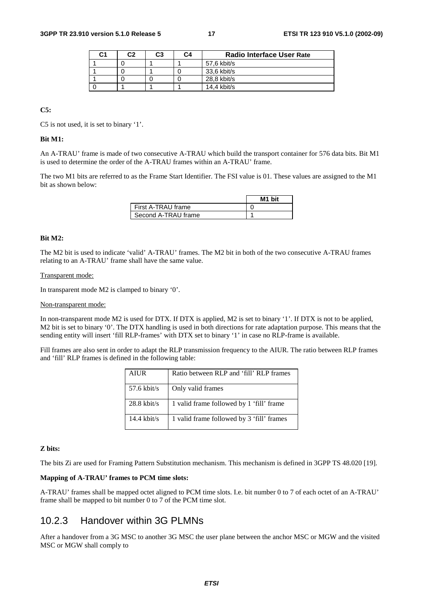| C1 | C2 | C3 | C4 | <b>Radio Interface User Rate</b> |
|----|----|----|----|----------------------------------|
|    |    |    |    | 57.6 kbit/s                      |
|    |    |    |    | 33,6 kbit/s                      |
|    |    |    |    | 28.8 kbit/s                      |
|    |    |    |    | $14.4$ kbit/s                    |

**C5:** 

C5 is not used, it is set to binary '1'.

#### **Bit M1:**

An A-TRAU' frame is made of two consecutive A-TRAU which build the transport container for 576 data bits. Bit M1 is used to determine the order of the A-TRAU frames within an A-TRAU' frame.

The two M1 bits are referred to as the Frame Start Identifier. The FSI value is 01. These values are assigned to the M1 bit as shown below:

|                      | M1 bit |
|----------------------|--------|
| I First A-TRAU frame |        |
| Second A-TRAU frame  |        |

#### **Bit M2:**

The M2 bit is used to indicate 'valid' A-TRAU' frames. The M2 bit in both of the two consecutive A-TRAU frames relating to an A-TRAU' frame shall have the same value.

#### Transparent mode:

In transparent mode M2 is clamped to binary '0'.

#### Non-transparent mode:

In non-transparent mode M2 is used for DTX. If DTX is applied, M2 is set to binary '1'. If DTX is not to be applied, M2 bit is set to binary '0'. The DTX handling is used in both directions for rate adaptation purpose. This means that the sending entity will insert 'fill RLP-frames' with DTX set to binary '1' in case no RLP-frame is available.

Fill frames are also sent in order to adapt the RLP transmission frequency to the AIUR. The ratio between RLP frames and 'fill' RLP frames is defined in the following table:

| AIUR          | Ratio between RLP and 'fill' RLP frames   |
|---------------|-------------------------------------------|
| $57.6$ kbit/s | Only valid frames                         |
| $28.8$ kbit/s | 1 valid frame followed by 1 'fill' frame  |
| $14.4$ kbit/s | 1 valid frame followed by 3 'fill' frames |

#### **Z bits:**

The bits Zi are used for Framing Pattern Substitution mechanism. This mechanism is defined in 3GPP TS 48.020 [19].

#### **Mapping of A-TRAU' frames to PCM time slots:**

A-TRAU' frames shall be mapped octet aligned to PCM time slots. I.e. bit number 0 to 7 of each octet of an A-TRAU' frame shall be mapped to bit number 0 to 7 of the PCM time slot.

### 10.2.3 Handover within 3G PLMNs

After a handover from a 3G MSC to another 3G MSC the user plane between the anchor MSC or MGW and the visited MSC or MGW shall comply to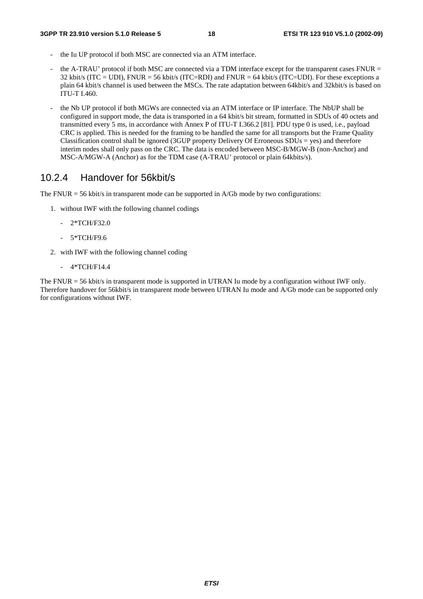- the Iu UP protocol if both MSC are connected via an ATM interface.
- the A-TRAU' protocol if both MSC are connected via a TDM interface except for the transparent cases FNUR = 32 kbit/s (ITC = UDI), FNUR = 56 kbit/s (ITC=RDI) and FNUR = 64 kbit/s (ITC=UDI). For these exceptions a plain 64 kbit/s channel is used between the MSCs. The rate adaptation between 64kbit/s and 32kbit/s is based on ITU-T I.460.
- the Nb UP protocol if both MGWs are connected via an ATM interface or IP interface. The NbUP shall be configured in support mode, the data is transported in a 64 kbit/s bit stream, formatted in SDUs of 40 octets and transmitted every 5 ms, in accordance with Annex P of ITU-T I.366.2 [81]. PDU type 0 is used, i.e., payload CRC is applied. This is needed for the framing to be handled the same for all transports but the Frame Quality Classification control shall be ignored (3GUP property Delivery Of Erroneous  $SDUs$  = yes) and therefore interim nodes shall only pass on the CRC. The data is encoded between MSC-B/MGW-B (non-Anchor) and MSC-A/MGW-A (Anchor) as for the TDM case (A-TRAU' protocol or plain 64kbits/s).

### 10.2.4 Handover for 56kbit/s

The FNUR  $=$  56 kbit/s in transparent mode can be supported in A/Gb mode by two configurations:

- 1. without IWF with the following channel codings
	- 2\*TCH/F32.0
	- 5\*TCH/F9.6
- 2. with IWF with the following channel coding
	- 4\*TCH/F14.4

The FNUR = 56 kbit/s in transparent mode is supported in UTRAN Iu mode by a configuration without IWF only. Therefore handover for 56kbit/s in transparent mode between UTRAN Iu mode and A/Gb mode can be supported only for configurations without IWF.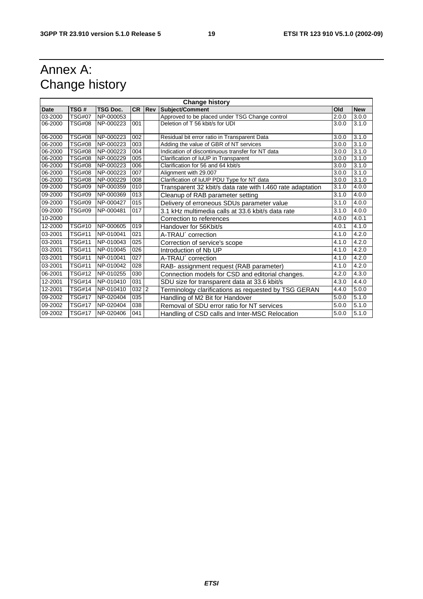# Annex A: Change history

| <b>Change history</b> |                             |                 |       |        |                                                            |       |            |  |
|-----------------------|-----------------------------|-----------------|-------|--------|------------------------------------------------------------|-------|------------|--|
| <b>Date</b>           | TSG#                        | <b>TSG Doc.</b> |       | CR Rev | Subject/Comment                                            | Old   | <b>New</b> |  |
| 03-2000               | <b>TSG#07</b>               | NP-000053       |       |        | Approved to be placed under TSG Change control             | 2.0.0 | 3.0.0      |  |
| 06-2000               | <b>TSG#08</b>               | NP-000223       | 001   |        | Deletion of T 56 kbit/s for UDI                            | 3.0.0 | 3.1.0      |  |
| 06-2000               | <b>TSG#08</b>               | NP-000223       | 002   |        | Residual bit error ratio in Transparent Data               | 3.0.0 | 3.1.0      |  |
| 06-2000               | <b>TSG#08</b>               | NP-000223       | 003   |        | Adding the value of GBR of NT services                     | 3.0.0 | 3.1.0      |  |
| 06-2000               | <b>TSG#08</b>               | NP-000223       | 004   |        | Indication of discontinuous transfer for NT data           | 3.0.0 | 3.1.0      |  |
| 06-2000               | <b>TSG#08</b>               | NP-000229       | 005   |        | Clarification of IuUP in Transparent                       | 3.0.0 | 3.1.0      |  |
| 06-2000               | <b>TSG#08</b>               | NP-000223       | 006   |        | Clarification for 56 and 64 kbit/s                         | 3.0.0 | 3.1.0      |  |
| 06-2000               | <b>TSG#08</b>               | NP-000223       | 007   |        | Alignment with 29.007                                      | 3.0.0 | 3.1.0      |  |
| 06-2000               | <b>TSG#08</b>               | NP-000229       | 008   |        | Clarification of IuUP PDU Type for NT data                 | 3.0.0 | 3.1.0      |  |
| 09-2000               | TSG#09                      | NP-000359       | 010   |        | Transparent 32 kbit/s data rate with I.460 rate adaptation | 3.1.0 | 4.0.0      |  |
| 09-2000               | <b>TSG#09</b>               | NP-000369       | 013   |        | Cleanup of RAB parameter setting                           | 3.1.0 | 4.0.0      |  |
| 09-2000               | <b>TSG#09</b>               | NP-000427       | 015   |        | Delivery of erroneous SDUs parameter value                 | 3.1.0 | 4.0.0      |  |
| 09-2000               | TSG#09                      | NP-000481       | 017   |        | 3.1 kHz multimedia calls at 33.6 kbit/s data rate          | 3.1.0 | 4.0.0      |  |
| 10-2000               |                             |                 |       |        | Correction to references                                   | 4.0.0 | 4.0.1      |  |
| 12-2000               | <b>TSG#10</b>               | NP-000605       | 019   |        | Handover for 56Kbit/s                                      | 4.0.1 | 4.1.0      |  |
| 03-2001               | TSG#11                      | NP-010041       | 021   |        | A-TRAU' correction                                         | 4.1.0 | 4.2.0      |  |
| 03-2001               | <b>TSG#11</b>               | NP-010043       | 025   |        | Correction of service's scope                              | 4.1.0 | 4.2.0      |  |
| 03-2001               | <b>TSG#11</b>               | NP-010045       | 026   |        | Introduction of Nb UP                                      | 4.1.0 | 4.2.0      |  |
| 03-2001               | TSG#11                      | NP-010041       | 027   |        | A-TRAU' correction                                         | 4.1.0 | 4.2.0      |  |
| 03-2001               | TSG#11                      | NP-010042       | 028   |        | RAB- assignment request (RAB parameter)                    | 4.1.0 | 4.2.0      |  |
| 06-2001               | TSG#12                      | NP-010255       | 030   |        | Connection models for CSD and editorial changes.           | 4.2.0 | 4.3.0      |  |
| 12-2001               | $\overline{\text{TSG}}$ #14 | NP-010410       | 031   |        | SDU size for transparent data at 33.6 kbit/s               | 4.3.0 | 4.4.0      |  |
| 12-2001               | TSG#14                      | NP-010410       | 032 2 |        | Terminology clarifications as requested by TSG GERAN       | 4.4.0 | 5.0.0      |  |
| 09-2002               | <b>TSG#17</b>               | NP-020404       | 035   |        | Handling of M2 Bit for Handover                            | 5.0.0 | 5.1.0      |  |
| 09-2002               | TSG#17                      | NP-020404       | 038   |        | Removal of SDU error ratio for NT services                 | 5.0.0 | 5.1.0      |  |
| 09-2002               | <b>TSG#17</b>               | NP-020406       | 041   |        | Handling of CSD calls and Inter-MSC Relocation             | 5.0.0 | 5.1.0      |  |